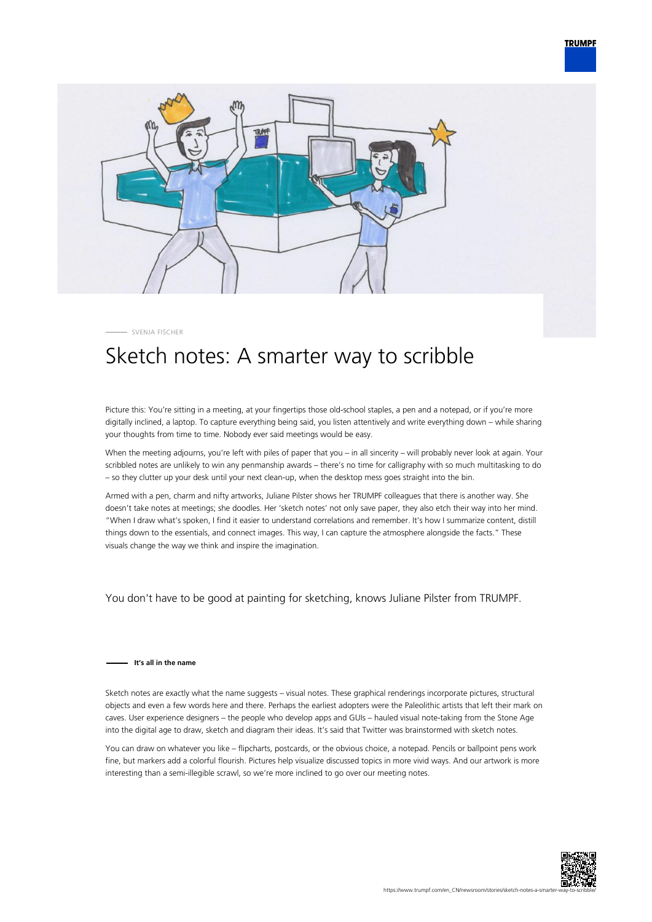



SVENJA FISCHER

## Sketch notes: A smarter way to scribble

Picture this: You're sitting in a meeting, at your fingertips those old-school staples, a pen and a notepad, or if you're more digitally inclined, a laptop. To capture everything being said, you listen attentively and write everything down – while sharing your thoughts from time to time. Nobody ever said meetings would be easy.

When the meeting adjourns, you're left with piles of paper that you – in all sincerity – will probably never look at again. Your scribbled notes are unlikely to win any penmanship awards – there's no time for calligraphy with so much multitasking to do – so they clutter up your desk until your next clean-up, when the desktop mess goes straight into the bin.

Armed with a pen, charm and nifty artworks, Juliane Pilster shows her TRUMPF colleagues that there is another way. She doesn't take notes at meetings; she doodles. Her 'sketch notes' not only save paper, they also etch their way into her mind. "When I draw what's spoken, I find it easier to understand correlations and remember. It's how I summarize content, distill things down to the essentials, and connect images. This way, I can capture the atmosphere alongside the facts." These visuals change the way we think and inspire the imagination.

You don't have to be good at painting for sketching, knows Juliane Pilster from TRUMPF.

## **It's all in the name**

Sketch notes are exactly what the name suggests – visual notes. These graphical renderings incorporate pictures, structural objects and even a few words here and there. Perhaps the earliest adopters were the Paleolithic artists that left their mark on caves. User experience designers – the people who develop apps and GUIs – hauled visual note-taking from the Stone Age into the digital age to draw, sketch and diagram their ideas. It's said that Twitter was brainstormed with sketch notes.

You can draw on whatever you like – flipcharts, postcards, or the obvious choice, a notepad. Pencils or ballpoint pens work fine, but markers add a colorful flourish. Pictures help visualize discussed topics in more vivid ways. And our artwork is more interesting than a semi-illegible scrawl, so we're more inclined to go over our meeting notes.